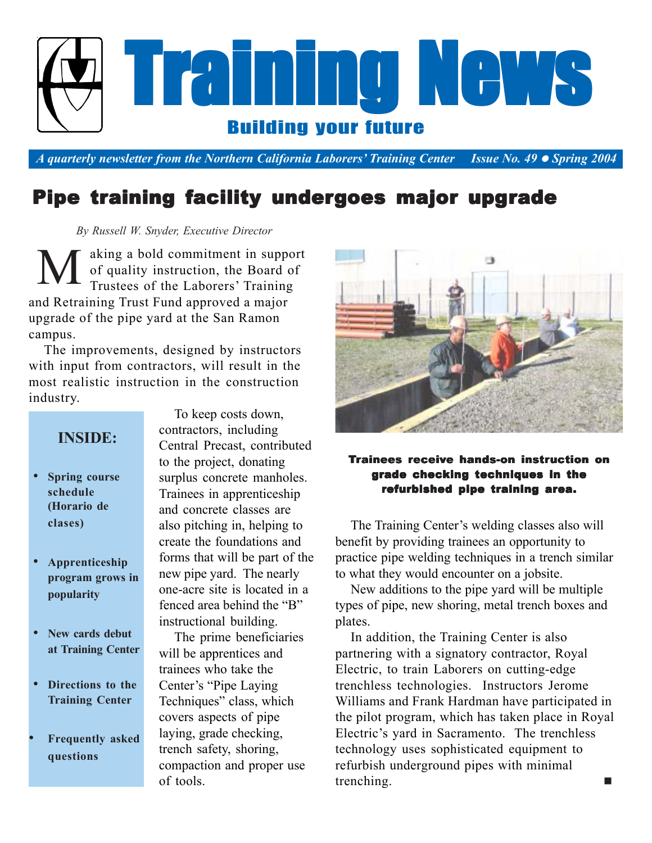

*A quarterly newsletter from the Northern California Laborers' Training Center Issue No. 49* • *Spring 2004* 

## Pipe training facility undergoes major upgrade

 *By Russell W. Snyder, Executive Director*

aking a bold commitment in support of quality instruction, the Board of Trustees of the Laborers' Training and Retraining Trust Fund approved a major upgrade of the pipe yard at the San Ramon campus. M

The improvements, designed by instructors with input from contractors, will result in the most realistic instruction in the construction industry.

### **INSIDE:**

- **Spring course schedule (Horario de clases)**
- **Apprenticeship program grows in popularity**
- **New cards debut at Training Center**
- **Directions to the Training Center**
- **Frequently asked questions**

To keep costs down, contractors, including Central Precast, contributed to the project, donating surplus concrete manholes. Trainees in apprenticeship and concrete classes are also pitching in, helping to create the foundations and forms that will be part of the new pipe yard. The nearly one-acre site is located in a fenced area behind the "B" instructional building.

The prime beneficiaries will be apprentices and trainees who take the Center's "Pipe Laying Techniques" class, which covers aspects of pipe laying, grade checking, trench safety, shoring, compaction and proper use of tools.



### Trainees receive hands-on instruction on grade checking techniques in the refurbished pipe training area.

The Training Center's welding classes also will benefit by providing trainees an opportunity to practice pipe welding techniques in a trench similar to what they would encounter on a jobsite.

New additions to the pipe yard will be multiple types of pipe, new shoring, metal trench boxes and plates.

In addition, the Training Center is also partnering with a signatory contractor, Royal Electric, to train Laborers on cutting-edge trenchless technologies. Instructors Jerome Williams and Frank Hardman have participated in the pilot program, which has taken place in Royal Electric's yard in Sacramento. The trenchless technology uses sophisticated equipment to refurbish underground pipes with minimal trenching.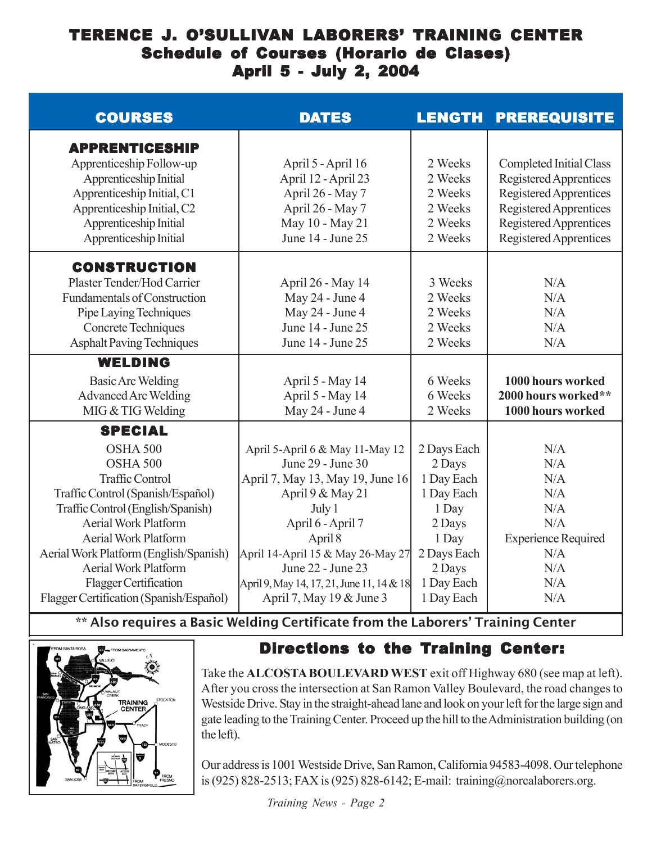## TERENCE J. O'SULLIVAN LABORERS' TRAINING CENTER Schedule of Courses (Horario de Clases) April 5 - July 2, 2004

| <b>COURSES</b>                                                                                                                                                                                                                                                                                                                                        | <b>DATES</b>                                                                                                                                                                                                                                                                              | <b>LENGTH</b>                                                                                                                      | <b>PREREQUISITE</b>                                                                                                                                              |
|-------------------------------------------------------------------------------------------------------------------------------------------------------------------------------------------------------------------------------------------------------------------------------------------------------------------------------------------------------|-------------------------------------------------------------------------------------------------------------------------------------------------------------------------------------------------------------------------------------------------------------------------------------------|------------------------------------------------------------------------------------------------------------------------------------|------------------------------------------------------------------------------------------------------------------------------------------------------------------|
| <b>APPRENTICESHIP</b><br>Apprenticeship Follow-up<br>Apprenticeship Initial<br>Apprenticeship Initial, C1<br>Apprenticeship Initial, C2<br>Apprenticeship Initial<br>Apprenticeship Initial                                                                                                                                                           | April 5 - April 16<br>April 12 - April 23<br>April 26 - May 7<br>April 26 - May 7<br>May 10 - May 21<br>June 14 - June 25                                                                                                                                                                 | 2 Weeks<br>2 Weeks<br>2 Weeks<br>2 Weeks<br>2 Weeks<br>2 Weeks                                                                     | <b>Completed Initial Class</b><br>Registered Apprentices<br>Registered Apprentices<br>Registered Apprentices<br>Registered Apprentices<br>Registered Apprentices |
| <b>CONSTRUCTION</b><br>Plaster Tender/Hod Carrier<br><b>Fundamentals of Construction</b><br>Pipe Laying Techniques<br>Concrete Techniques<br><b>Asphalt Paving Techniques</b>                                                                                                                                                                         | April 26 - May 14<br>May 24 - June 4<br>May 24 - June 4<br>June 14 - June 25<br>June 14 - June 25                                                                                                                                                                                         | 3 Weeks<br>2 Weeks<br>2 Weeks<br>2 Weeks<br>2 Weeks                                                                                | N/A<br>N/A<br>N/A<br>N/A<br>N/A                                                                                                                                  |
| <b>WELDING</b><br><b>Basic Arc Welding</b><br><b>Advanced Arc Welding</b><br>MIG & TIG Welding                                                                                                                                                                                                                                                        | April 5 - May 14<br>April 5 - May 14<br>May 24 - June 4                                                                                                                                                                                                                                   | 6 Weeks<br>6 Weeks<br>2 Weeks                                                                                                      | 1000 hours worked<br>2000 hours worked**<br>1000 hours worked                                                                                                    |
| <b>SPECIAL</b><br>OSHA 500<br>OSHA 500<br><b>Traffic Control</b><br>Traffic Control (Spanish/Español)<br>Traffic Control (English/Spanish)<br><b>Aerial Work Platform</b><br><b>Aerial Work Platform</b><br>Aerial Work Platform (English/Spanish)<br><b>Aerial Work Platform</b><br>Flagger Certification<br>Flagger Certification (Spanish/Español) | April 5-April 6 & May 11-May 12<br>June 29 - June 30<br>April 7, May 13, May 19, June 16<br>April 9 & May 21<br>July 1<br>April 6 - April 7<br>April 8<br>April 14-April 15 & May 26-May 27<br>June 22 - June 23<br>April 9, May 14, 17, 21, June 11, 14 & 18<br>April 7, May 19 & June 3 | 2 Days Each<br>2 Days<br>1 Day Each<br>1 Day Each<br>1 Day<br>2 Days<br>1 Day<br>2 Days Each<br>2 Days<br>1 Day Each<br>1 Day Each | N/A<br>N/A<br>N/A<br>N/A<br>N/A<br>N/A<br><b>Experience Required</b><br>N/A<br>N/A<br>N/A<br>N/A                                                                 |

\*\* Also requires a Basic Welding Certificate from the Laborers' Training Center



## Directions to the Training Center:

Take the **ALCOSTA BOULEVARD WEST** exit off Highway 680 (see map at left). After you cross the intersection at San Ramon Valley Boulevard, the road changes to Westside Drive. Stay in the straight-ahead lane and look on your left for the large sign and gate leading to the Training Center. Proceed up the hill to the Administration building (on the left).

Our address is 1001 Westside Drive, San Ramon, California 94583-4098. Our telephone is (925) 828-2513; FAX is (925) 828-6142; E-mail: training@norcalaborers.org.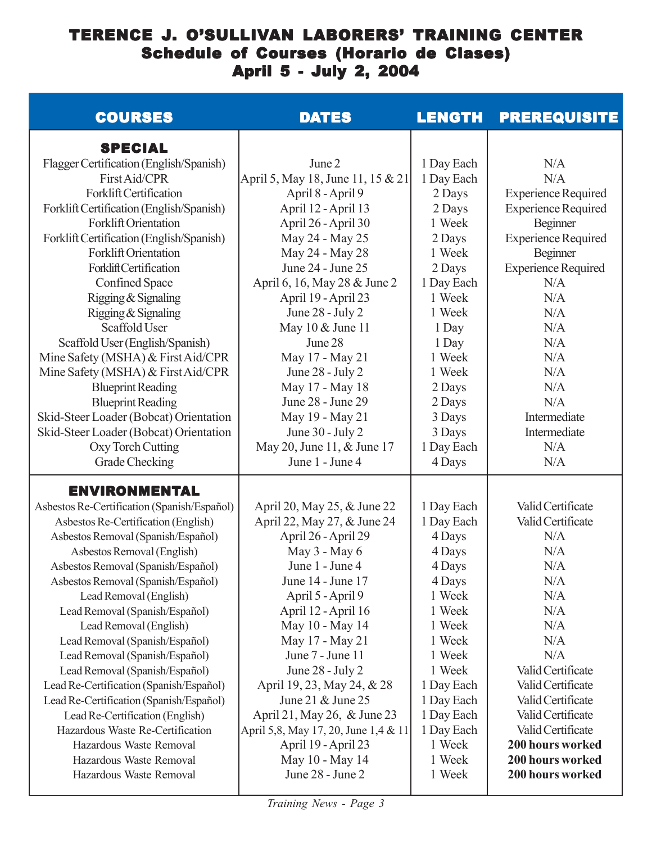### TERENCE J. O'SULLIVAN LABORERS' TRAINING CENTER Schedule of Courses (Horario de Clases) April 5 - July 2, 2004

| <b>COURSES</b>                              | <b>DATES</b>                         | <b>LENGTH</b> | <b>PREREQUISITE</b>        |
|---------------------------------------------|--------------------------------------|---------------|----------------------------|
| <b>SPECIAL</b>                              |                                      |               |                            |
| Flagger Certification (English/Spanish)     | June 2                               | 1 Day Each    | N/A                        |
| First Aid/CPR                               | April 5, May 18, June 11, 15 & 21    | 1 Day Each    | N/A                        |
| <b>Forklift Certification</b>               | April 8 - April 9                    | 2 Days        | <b>Experience Required</b> |
| Forklift Certification (English/Spanish)    | April 12 - April 13                  | 2 Days        | <b>Experience Required</b> |
| <b>Forklift Orientation</b>                 | April 26 - April 30                  | 1 Week        | Beginner                   |
| Forklift Certification (English/Spanish)    | May 24 - May 25                      | 2 Days        | <b>Experience Required</b> |
| <b>Forklift Orientation</b>                 | May 24 - May 28                      | 1 Week        | Beginner                   |
| Forklift Certification                      | June 24 - June 25                    | 2 Days        | <b>Experience Required</b> |
| <b>Confined Space</b>                       | April 6, 16, May 28 & June 2         | 1 Day Each    | N/A                        |
| Rigging & Signaling                         | April 19 - April 23                  | 1 Week        | N/A                        |
| Rigging & Signaling                         | June 28 - July 2                     | 1 Week        | N/A                        |
| Scaffold User                               | May 10 & June 11                     | 1 Day         | N/A                        |
| Scaffold User (English/Spanish)             | June 28                              | 1 Day         | N/A                        |
| Mine Safety (MSHA) & First Aid/CPR          | May 17 - May 21                      | 1 Week        | N/A                        |
| Mine Safety (MSHA) & First Aid/CPR          | June 28 - July 2                     | 1 Week        | N/A                        |
| <b>Blueprint Reading</b>                    | May 17 - May 18                      | 2 Days        | N/A                        |
| <b>Blueprint Reading</b>                    | June 28 - June 29                    | 2 Days        | N/A                        |
| Skid-Steer Loader (Bobcat) Orientation      | May 19 - May 21                      | 3 Days        | Intermediate               |
| Skid-Steer Loader (Bobcat) Orientation      | June 30 - July 2                     | 3 Days        | Intermediate               |
| Oxy Torch Cutting                           | May 20, June 11, & June 17           | 1 Day Each    | N/A                        |
| Grade Checking                              | June 1 - June 4                      | 4 Days        | N/A                        |
| <b>ENVIRONMENTAL</b>                        |                                      |               |                            |
| Asbestos Re-Certification (Spanish/Español) | April 20, May 25, & June 22          | 1 Day Each    | Valid Certificate          |
| Asbestos Re-Certification (English)         | April 22, May 27, & June 24          | 1 Day Each    | Valid Certificate          |
| Asbestos Removal (Spanish/Español)          | April 26 - April 29                  | 4 Days        | N/A                        |
| Asbestos Removal (English)                  | May 3 - May 6                        | 4 Days        | N/A                        |
| Asbestos Removal (Spanish/Español)          | June 1 - June 4                      | 4 Days        | N/A                        |
| Asbestos Removal (Spanish/Español)          | June 14 - June 17                    | 4 Days        | N/A                        |
| Lead Removal (English)                      | April 5 - April 9                    | 1 Week        | N/A                        |
| Lead Removal (Spanish/Español)              | April 12 - April 16                  | 1 Week        | N/A                        |
| Lead Removal (English)                      | May 10 - May 14                      | 1 Week        | N/A                        |
| Lead Removal (Spanish/Español)              | May 17 - May 21                      | 1 Week        | N/A                        |
| Lead Removal (Spanish/Español)              | June 7 - June 11                     | 1 Week        | N/A                        |
| Lead Removal (Spanish/Español)              | June 28 - July 2                     | 1 Week        | Valid Certificate          |
| Lead Re-Certification (Spanish/Español)     | April 19, 23, May 24, & 28           | 1 Day Each    | Valid Certificate          |
| Lead Re-Certification (Spanish/Español)     | June 21 & June 25                    | 1 Day Each    | Valid Certificate          |
| Lead Re-Certification (English)             | April 21, May 26, & June 23          | 1 Day Each    | Valid Certificate          |
| Hazardous Waste Re-Certification            | April 5,8, May 17, 20, June 1,4 & 11 | 1 Day Each    | Valid Certificate          |
| Hazardous Waste Removal                     | April 19 - April 23                  | 1 Week        | 200 hours worked           |
| Hazardous Waste Removal                     | May 10 - May 14                      | 1 Week        | 200 hours worked           |
| Hazardous Waste Removal                     | June 28 - June 2                     | 1 Week        | 200 hours worked           |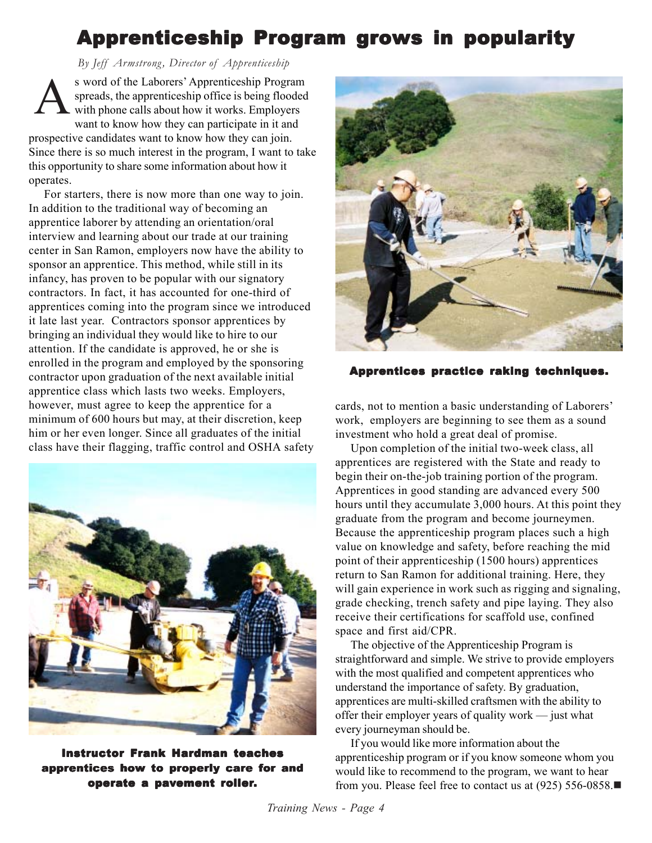# Apprenticeship Program grows in popularity

 *By Jeff Armstrong, Director of Apprenticeship*

s word of the Laborers' Apprenticeship Program spreads, the apprenticeship office is being flooded with phone calls about how it works. Employers want to know how they can participate in it and prospective candidates want to know how they can join. Since there is so much interest in the program, I want to take this opportunity to share some information about how it operates. A

For starters, there is now more than one way to join. In addition to the traditional way of becoming an apprentice laborer by attending an orientation/oral interview and learning about our trade at our training center in San Ramon, employers now have the ability to sponsor an apprentice. This method, while still in its infancy, has proven to be popular with our signatory contractors. In fact, it has accounted for one-third of apprentices coming into the program since we introduced it late last year. Contractors sponsor apprentices by bringing an individual they would like to hire to our attention. If the candidate is approved, he or she is enrolled in the program and employed by the sponsoring contractor upon graduation of the next available initial apprentice class which lasts two weeks. Employers, however, must agree to keep the apprentice for a minimum of 600 hours but may, at their discretion, keep him or her even longer. Since all graduates of the initial class have their flagging, traffic control and OSHA safety



Instructor Frank Hardman teaches apprentices how to properly care for and operate a pavement roller.



Apprentices practice raking techniques.

cards, not to mention a basic understanding of Laborers' work, employers are beginning to see them as a sound investment who hold a great deal of promise.

Upon completion of the initial two-week class, all apprentices are registered with the State and ready to begin their on-the-job training portion of the program. Apprentices in good standing are advanced every 500 hours until they accumulate 3,000 hours. At this point they graduate from the program and become journeymen. Because the apprenticeship program places such a high value on knowledge and safety, before reaching the mid point of their apprenticeship (1500 hours) apprentices return to San Ramon for additional training. Here, they will gain experience in work such as rigging and signaling, grade checking, trench safety and pipe laying. They also receive their certifications for scaffold use, confined space and first aid/CPR.

The objective of the Apprenticeship Program is straightforward and simple. We strive to provide employers with the most qualified and competent apprentices who understand the importance of safety. By graduation, apprentices are multi-skilled craftsmen with the ability to offer their employer years of quality work — just what every journeyman should be.

If you would like more information about the apprenticeship program or if you know someone whom you would like to recommend to the program, we want to hear from you. Please feel free to contact us at (925) 556-0858.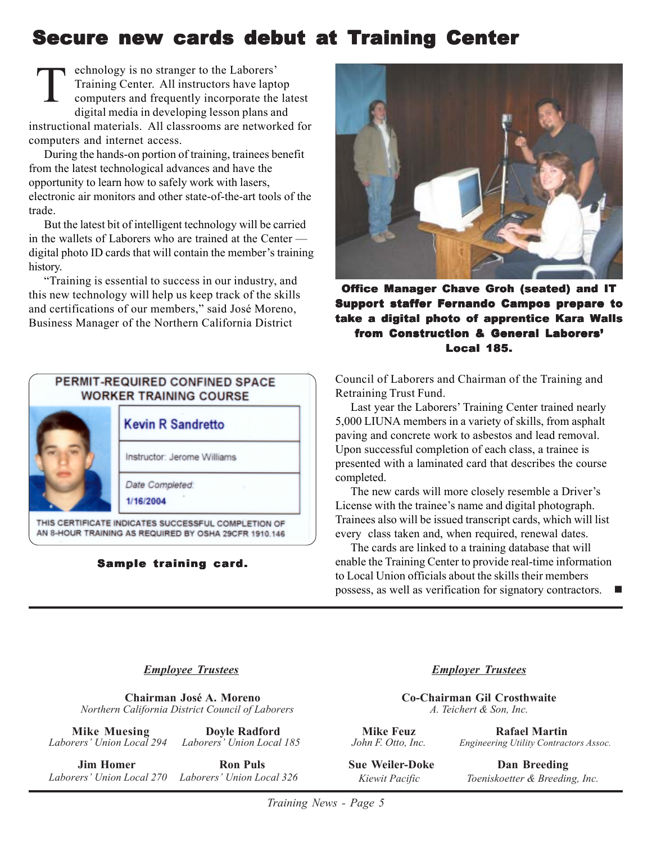# Secure new cards debut at Training Center

echnology is no stranger to the Laborers' Training Center. All instructors have laptop computers and frequently incorporate the latest digital media in developing lesson plans and instructional materials. All classrooms are networked for computers and internet access. T

During the hands-on portion of training, trainees benefit from the latest technological advances and have the opportunity to learn how to safely work with lasers, electronic air monitors and other state-of-the-art tools of the trade.

But the latest bit of intelligent technology will be carried in the wallets of Laborers who are trained at the Center digital photo ID cards that will contain the member's training history.

"Training is essential to success in our industry, and this new technology will help us keep track of the skills and certifications of our members," said José Moreno, Business Manager of the Northern California District



#### Sample training card. Sample training card. Sample card.



Office Manager Chave Groh (seated) and IT Support staffer Fernando Campos prepare to take a digital photo of apprentice Kara Walls from Construction & General Laborers' Local 185. Local 185.

Council of Laborers and Chairman of the Training and Retraining Trust Fund.

Last year the Laborers' Training Center trained nearly 5,000 LIUNA members in a variety of skills, from asphalt paving and concrete work to asbestos and lead removal. Upon successful completion of each class, a trainee is presented with a laminated card that describes the course completed.

The new cards will more closely resemble a Driver's License with the trainee's name and digital photograph. Trainees also will be issued transcript cards, which will list every class taken and, when required, renewal dates.

The cards are linked to a training database that will enable the Training Center to provide real-time information to Local Union officials about the skills their members possess, as well as verification for signatory contractors.

#### *Employee Trustees*

 **Chairman José A. Moreno**  *Northern California District Council of Laborers*

**Mike Muesing Doyle Radford**<br>*Laborers'* Union Local 294 Laborers' Union Local Laborers' Union Local 185

*<u>Iim Homer* Ron Puls</u>  *Laborers' Union Local 270 Laborers' Union Local 326* *Employer Trustees*

**Co-Chairman Gil Crosthwaite** *A. Teichert & Son, Inc.*

**Mike Feuz Rafael Martin**<br>John F. Otto, Inc. Engineering Utility Contract *Engineering Utility Contractors Assoc.* 

**Sue Weiler-Doke Dan Breeding**  *Kiewit Pacific Toeniskoetter & Breeding, Inc.*